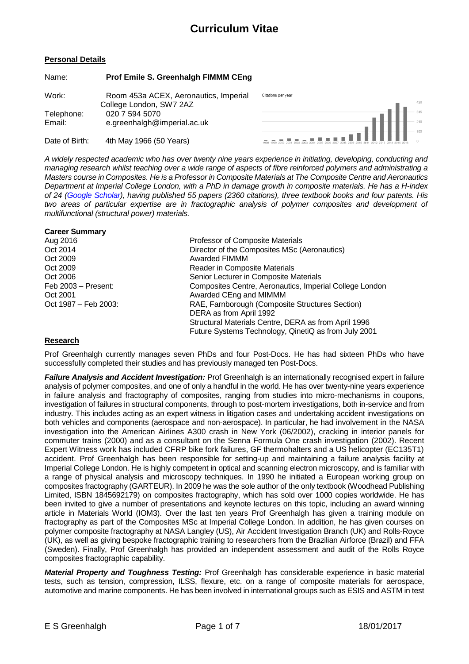#### **Personal Details**

Name: **Prof Emile S. Greenhalgh FIMMM CEng**

| Work:                | Room 453a ACEX, Aeronautics, Imperial                                    | Citations per year                                                                 |  |
|----------------------|--------------------------------------------------------------------------|------------------------------------------------------------------------------------|--|
| Telephone:<br>Email: | College London, SW7 2AZ<br>020 7 594 5070<br>e.greenhalgh@imperial.ac.uk |                                                                                    |  |
| Date of Birth:       | 4th May 1966 (50 Years)                                                  | 08 1999 2000 2001 2002 2003 2004 2005 2006 2007 2008 2009 2010 2011 2012 2013 2014 |  |

*A widely respected academic who has over twenty nine years experience in initiating, developing, conducting and managing research whilst teaching over a wide range of aspects of fibre reinforced polymers and administrating a Masters course in Composites. He is a Professor in Composite Materials at The Composite Centre and Aeronautics Department at Imperial College London, with a PhD in damage growth in composite materials. He has a H-index of 24 [\(Google Scholar\)](https://scholar.google.co.uk/citations?hl=en&pli=1&user=Uf4SqJEAAAAJ), having published 55 papers (2360 citations), three textbook books and four patents. His two areas of particular expertise are in fractographic analysis of polymer composites and development of multifunctional (structural power) materials.*

#### **Career Summary**

| Aug 2016              | Professor of Composite Materials                        |
|-----------------------|---------------------------------------------------------|
| Oct 2014              | Director of the Composites MSc (Aeronautics)            |
| Oct 2009              | Awarded FIMMM                                           |
| Oct 2009              | Reader in Composite Materials                           |
| Oct 2006              | Senior Lecturer in Composite Materials                  |
| Feb $2003 -$ Present: | Composites Centre, Aeronautics, Imperial College London |
| Oct 2001              | Awarded CEng and MIMMM                                  |
| Oct 1987 – Feb 2003:  | RAE, Farnborough (Composite Structures Section)         |
|                       | DERA as from April 1992                                 |
|                       | Structural Materials Centre, DERA as from April 1996    |
|                       | Future Systems Technology, QinetiQ as from July 2001    |

#### **Research**

Prof Greenhalgh currently manages seven PhDs and four Post-Docs. He has had sixteen PhDs who have successfully completed their studies and has previously managed ten Post-Docs.

*Failure Analysis and Accident Investigation:* Prof Greenhalgh is an internationally recognised expert in failure analysis of polymer composites, and one of only a handful in the world. He has over twenty-nine years experience in failure analysis and fractography of composites, ranging from studies into micro-mechanisms in coupons, investigation of failures in structural components, through to post-mortem investigations, both in-service and from industry. This includes acting as an expert witness in litigation cases and undertaking accident investigations on both vehicles and components (aerospace and non-aerospace). In particular, he had involvement in the NASA investigation into the American Airlines A300 crash in New York (06/2002), cracking in interior panels for commuter trains (2000) and as a consultant on the Senna Formula One crash investigation (2002). Recent Expert Witness work has included CFRP bike fork failures, GF thermohalters and a US helicopter (EC135T1) accident. Prof Greenhalgh has been responsible for setting-up and maintaining a failure analysis facility at Imperial College London. He is highly competent in optical and scanning electron microscopy, and is familiar with a range of physical analysis and microscopy techniques. In 1990 he initiated a European working group on composites fractography (GARTEUR). In 2009 he was the sole author of the only textbook (Woodhead Publishing Limited, ISBN 1845692179) on composites fractography, which has sold over 1000 copies worldwide. He has been invited to give a number of presentations and keynote lectures on this topic, including an award winning article in Materials World (IOM3). Over the last ten years Prof Greenhalgh has given a training module on fractography as part of the Composites MSc at Imperial College London. In addition, he has given courses on polymer composite fractography at NASA Langley (US), Air Accident Investigation Branch (UK) and Rolls-Royce (UK), as well as giving bespoke fractographic training to researchers from the Brazilian Airforce (Brazil) and FFA (Sweden). Finally, Prof Greenhalgh has provided an independent assessment and audit of the Rolls Royce composites fractographic capability.

*Material Property and Toughness Testing:* Prof Greenhalgh has considerable experience in basic material tests, such as tension, compression, ILSS, flexure, etc. on a range of composite materials for aerospace, automotive and marine components. He has been involved in international groups such as ESIS and ASTM in test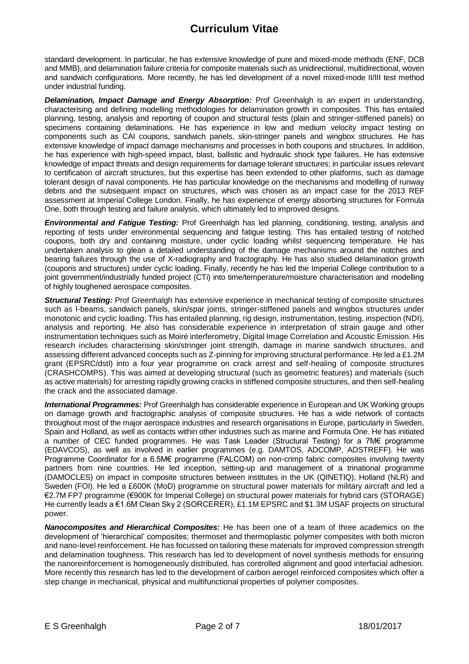standard development. In particular, he has extensive knowledge of pure and mixed-mode methods (ENF, DCB and MMB), and delamination failure criteria for composite materials such as unidirectional, multidirectional, woven and sandwich configurations. More recently, he has led development of a novel mixed-mode II/III test method under industrial funding.

*Delamination, Impact Damage and Energy Absorption:* Prof Greenhalgh is an expert in understanding, characterising and defining modelling methodologies for delamination growth in composites. This has entailed planning, testing, analysis and reporting of coupon and structural tests (plain and stringer-stiffened panels) on specimens containing delaminations. He has experience in low and medium velocity impact testing on components such as CAI coupons, sandwich panels, skin-stringer panels and wingbox structures. He has extensive knowledge of impact damage mechanisms and processes in both coupons and structures. In addition, he has experience with high-speed impact, blast, ballistic and hydraulic shock type failures. He has extensive knowledge of impact threats and design requirements for damage tolerant structures; in particular issues relevant to certification of aircraft structures, but this expertise has been extended to other platforms, such as damage tolerant design of naval components. He has particular knowledge on the mechanisms and modelling of runway debris and the subsequent impact on structures, which was chosen as an impact case for the 2013 REF assessment at Imperial College London. Finally, he has experience of energy absorbing structures for Formula One, both through testing and failure analysis, which ultimately led to improved designs.

*Environmental and Fatigue Testing:* Prof Greenhalgh has led planning, conditioning, testing, analysis and reporting of tests under environmental sequencing and fatigue testing. This has entailed testing of notched coupons, both dry and containing moisture, under cyclic loading whilst sequencing temperature. He has undertaken analysis to glean a detailed understanding of the damage mechanisms around the notches and bearing failures through the use of X-radiography and fractography. He has also studied delamination growth (coupons and structures) under cyclic loading. Finally, recently he has led the Imperial College contribution to a joint government/industrially funded project (CTi) into time/temperature/moisture characterisation and modelling of highly toughened aerospace composites.

*Structural Testing:* Prof Greenhalgh has extensive experience in mechanical testing of composite structures such as I-beams, sandwich panels, skin/spar joints, stringer-stiffened panels and wingbox structures under monotonic and cyclic loading. This has entailed planning, rig design, instrumentation, testing, inspection (NDI), analysis and reporting. He also has considerable experience in interpretation of strain gauge and other instrumentation techniques such as Moiré interferometry, Digital Image Correlation and Acoustic Emission. His research includes characterising skin/stringer joint strength, damage in marine sandwich structures, and assessing different advanced concepts such as Z-pinning for improving structural performance. He led a £1.2M grant (EPSRC/dstl) into a four year programme on crack arrest and self-healing of composite structures (CRASHCOMPS). This was aimed at developing structural (such as geometric features) and materials (such as active materials) for arresting rapidly growing cracks in stiffened composite structures, and then self-healing the crack and the associated damage.

*International Programmes:* Prof Greenhalgh has considerable experience in European and UK Working groups on damage growth and fractographic analysis of composite structures. He has a wide network of contacts throughout most of the major aerospace industries and research organisations in Europe, particularly in Sweden, Spain and Holland, as well as contacts within other industries such as marine and Formula One. He has initiated a number of CEC funded programmes. He was Task Leader (Structural Testing) for a 7M€ programme (EDAVCOS), as well as involved in earlier programmes (e.g. DAMTOS, ADCOMP, ADSTREFF). He was Programme Coordinator for a 6.5M€ programme (FALCOM) on non-crimp fabric composites involving twenty partners from nine countries. He led inception, setting-up and management of a trinational programme (DAMOCLES) on impact in composite structures between institutes in the UK (QINETIQ), Holland (NLR) and Sweden (FOI). He led a £600K (MoD) programme on structural power materials for military aircraft and led a €2.7M FP7 programme (€900K for Imperial College) on structural power materials for hybrid cars (STORAGE) He currently leads a €1.6M Clean Sky 2 (SORCERER), £1.1M EPSRC and \$1.3M USAF projects on structural power.

*Nanocomposites and Hierarchical Composites:* He has been one of a team of three academics on the development of 'hierarchical' composites; thermoset and thermoplastic polymer composites with both micron and nano-level reinforcement. He has focussed on tailoring these materials for improved compression strength and delamination toughness. This research has led to development of novel synthesis methods for ensuring the nanoreinforcement is homogeneously distributed, has controlled alignment and good interfacial adhesion. More recently this research has led to the development of carbon aerogel reinforced composites which offer a step change in mechanical, physical and multifunctional properties of polymer composites.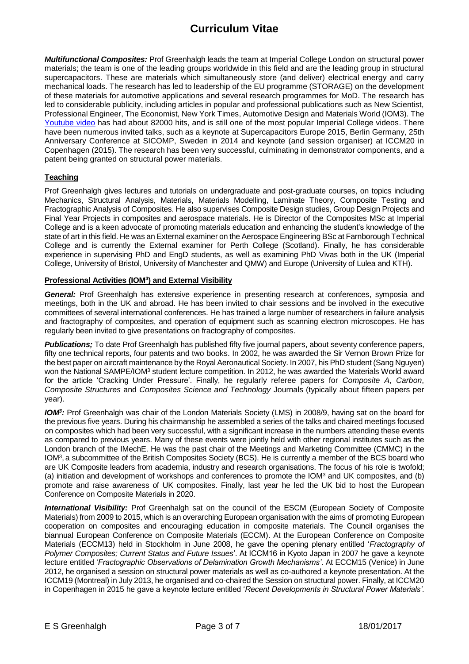*Multifunctional Composites:* Prof Greenhalgh leads the team at Imperial College London on structural power materials; the team is one of the leading groups worldwide in this field and are the leading group in structural supercapacitors. These are materials which simultaneously store (and deliver) electrical energy and carry mechanical loads. The research has led to leadership of the EU programme (STORAGE) on the development of these materials for automotive applications and several research programmes for MoD. The research has led to considerable publicity, including articles in popular and professional publications such as New Scientist, Professional Engineer, The Economist, New York Times, Automotive Design and Materials World (IOM3). The [Youtube video](http://www.youtube.com/watch?v=jZ7A51h6cwU) has had about 82000 hits, and is still one of the most popular Imperial College videos. There have been numerous invited talks, such as a keynote at Supercapacitors Europe 2015, Berlin Germany, 25th Anniversary Conference at SICOMP, Sweden in 2014 and keynote (and session organiser) at ICCM20 in Copenhagen (2015). The research has been very successful, culminating in demonstrator components, and a patent being granted on structural power materials.

#### **Teaching**

Prof Greenhalgh gives lectures and tutorials on undergraduate and post-graduate courses, on topics including Mechanics, Structural Analysis, Materials, Materials Modelling, Laminate Theory, Composite Testing and Fractographic Analysis of Composites. He also supervises Composite Design studies, Group Design Projects and Final Year Projects in composites and aerospace materials. He is Director of the Composites MSc at Imperial College and is a keen advocate of promoting materials education and enhancing the student's knowledge of the state of art in this field. He was an External examiner on the Aerospace Engineering BSc at Farnborough Technical College and is currently the External examiner for Perth College (Scotland). Finally, he has considerable experience in supervising PhD and EngD students, as well as examining PhD Vivas both in the UK (Imperial College, University of Bristol, University of Manchester and QMW) and Europe (University of Lulea and KTH).

#### **Professional Activities (IOM<sup>3</sup> ) and External Visibility**

*General:* Prof Greenhalgh has extensive experience in presenting research at conferences, symposia and meetings, both in the UK and abroad. He has been invited to chair sessions and be involved in the executive committees of several international conferences. He has trained a large number of researchers in failure analysis and fractography of composites, and operation of equipment such as scanning electron microscopes. He has regularly been invited to give presentations on fractography of composites.

**Publications;** To date Prof Greenhalgh has published fifty five journal papers, about seventy conference papers, fifty one technical reports, four patents and two books. In 2002, he was awarded the Sir Vernon Brown Prize for the best paper on aircraft maintenance by the Royal Aeronautical Society. In 2007, his PhD student (Sang Nguyen) won the National SAMPE/IOM<sup>3</sup> student lecture competition. In 2012, he was awarded the Materials World award for the article 'Cracking Under Pressure'. Finally, he regularly referee papers for *Composite A*, *Carbon*, *Composite Structures* and *Composites Science and Technology* Journals (typically about fifteen papers per year).

*IOM<sup>3</sup> :* Prof Greenhalgh was chair of the London Materials Society (LMS) in 2008/9, having sat on the board for the previous five years. During his chairmanship he assembled a series of the talks and chaired meetings focused on composites which had been very successful, with a significant increase in the numbers attending these events as compared to previous years. Many of these events were jointly held with other regional institutes such as the London branch of the IMechE. He was the past chair of the Meetings and Marketing Committee (CMMC) in the IOM<sup>3</sup> , a subcommittee of the British Composites Society (BCS). He is currently a member of the BCS board who are UK Composite leaders from academia, industry and research organisations. The focus of his role is twofold; (a) initiation and development of workshops and conferences to promote the IOM<sup>3</sup> and UK composites, and (b) promote and raise awareness of UK composites. Finally, last year he led the UK bid to host the European Conference on Composite Materials in 2020.

*International Visibility:* Prof Greenhalgh sat on the council of the ESCM (European Society of Composite Materials) from 2009 to 2015, which is an overarching European organisation with the aims of promoting European cooperation on composites and encouraging education in composite materials. The Council organises the biannual European Conference on Composite Materials (ECCM). At the European Conference on Composite Materials (ECCM13) held in Stockholm in June 2008, he gave the opening plenary entitled '*Fractography of Polymer Composites; Current Status and Future Issues*'. At ICCM16 in Kyoto Japan in 2007 he gave a keynote lecture entitled '*Fractographic Observations of Delamination Growth Mechanisms'*. At ECCM15 (Venice) in June 2012, he organised a session on structural power materials as well as co-authored a keynote presentation. At the ICCM19 (Montreal) in July 2013, he organised and co-chaired the Session on structural power. Finally, at ICCM20 in Copenhagen in 2015 he gave a keynote lecture entitled '*Recent Developments in Structural Power Materials'*.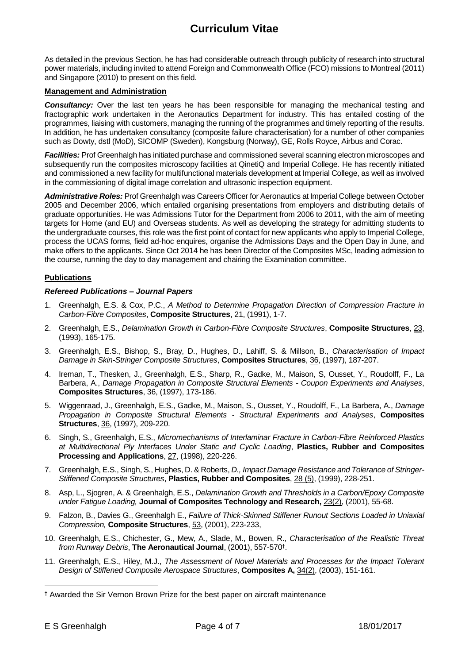As detailed in the previous Section, he has had considerable outreach through publicity of research into structural power materials, including invited to attend Foreign and Commonwealth Office (FCO) missions to Montreal (2011) and Singapore (2010) to present on this field.

#### **Management and Administration**

**Consultancy:** Over the last ten years he has been responsible for managing the mechanical testing and fractographic work undertaken in the Aeronautics Department for industry. This has entailed costing of the programmes, liaising with customers, managing the running of the programmes and timely reporting of the results. In addition, he has undertaken consultancy (composite failure characterisation) for a number of other companies such as Dowty, dstl (MoD), SICOMP (Sweden), Kongsburg (Norway), GE, Rolls Royce, Airbus and Corac.

*Facilities:* Prof Greenhalgh has initiated purchase and commissioned several scanning electron microscopes and subsequently run the composites microscopy facilities at QinetiQ and Imperial College. He has recently initiated and commissioned a new facility for multifunctional materials development at Imperial College, as well as involved in the commissioning of digital image correlation and ultrasonic inspection equipment.

*Administrative Roles:* Prof Greenhalgh was Careers Officer for Aeronautics at Imperial College between October 2005 and December 2006, which entailed organising presentations from employers and distributing details of graduate opportunities. He was Admissions Tutor for the Department from 2006 to 2011, with the aim of meeting targets for Home (and EU) and Overseas students. As well as developing the strategy for admitting students to the undergraduate courses, this role was the first point of contact for new applicants who apply to Imperial College, process the UCAS forms, field ad-hoc enquires, organise the Admissions Days and the Open Day in June, and make offers to the applicants. Since Oct 2014 he has been Director of the Composites MSc, leading admission to the course, running the day to day management and chairing the Examination committee.

#### **Publications**

#### *Refereed Publications – Journal Papers*

- 1. Greenhalgh, E.S. & Cox, P.C., *A Method to Determine Propagation Direction of Compression Fracture in Carbon-Fibre Composites*, **Composite Structures**, 21, (1991), 1-7.
- 2. Greenhalgh, E.S., *Delamination Growth in Carbon-Fibre Composite Structures*, **Composite Structures**, 23, (1993), 165-175.
- 3. Greenhalgh, E.S., Bishop, S., Bray, D., Hughes, D., Lahiff, S. & Millson, B., *Characterisation of Impact Damage in Skin-Stringer Composite Structures*, **Composites Structures**, 36, (1997), 187-207.
- 4. Ireman, T., Thesken, J., Greenhalgh, E.S., Sharp, R., Gadke, M., Maison, S, Ousset, Y., Roudolff, F., La Barbera, A., *Damage Propagation in Composite Structural Elements - Coupon Experiments and Analyses*, **Composites Structures**, 36, (1997), 173-186.
- 5. Wiggenraad, J., Greenhalgh, E.S., Gadke, M., Maison, S., Ousset, Y., Roudolff, F., La Barbera, A., *Damage Propagation in Composite Structural Elements - Structural Experiments and Analyses*, **Composites Structures**, 36, (1997), 209-220.
- 6. Singh, S., Greenhalgh, E.S., *Micromechanisms of Interlaminar Fracture in Carbon-Fibre Reinforced Plastics at Multidirectional Ply Interfaces Under Static and Cyclic Loading*, **Plastics, Rubber and Composites Processing and Applications**, 27, (1998), 220-226.
- 7. Greenhalgh, E.S., Singh, S., Hughes, D. & Roberts, *D., Impact Damage Resistance and Tolerance of Stringer-Stiffened Composite Structures*, **Plastics, Rubber and Composites**, 28 (5), (1999), 228-251.
- 8. Asp, L., Sjogren, A. & Greenhalgh, E.S., *Delamination Growth and Thresholds in a Carbon/Epoxy Composite under Fatigue Loading,* **Journal of Composites Technology and Research,** 23(2), (2001), 55-68.
- 9. Falzon, B., Davies G., Greenhalgh E., *Failure of Thick-Skinned Stiffener Runout Sections Loaded in Uniaxial Compression,* **Composite Structures**, 53, (2001), 223-233,
- 10. Greenhalgh, E.S., Chichester, G., Mew, A., Slade, M., Bowen, R., *Characterisation of the Realistic Threat from Runway Debris*, **The Aeronautical Journal**, (2001), 557-570† .
- 11. Greenhalgh, E.S., Hiley, M.J., *The Assessment of Novel Materials and Processes for the Impact Tolerant Design of Stiffened Composite Aerospace Structures*, **Composites A,** 34(2), (2003), 151-161.

<sup>÷,</sup> † Awarded the Sir Vernon Brown Prize for the best paper on aircraft maintenance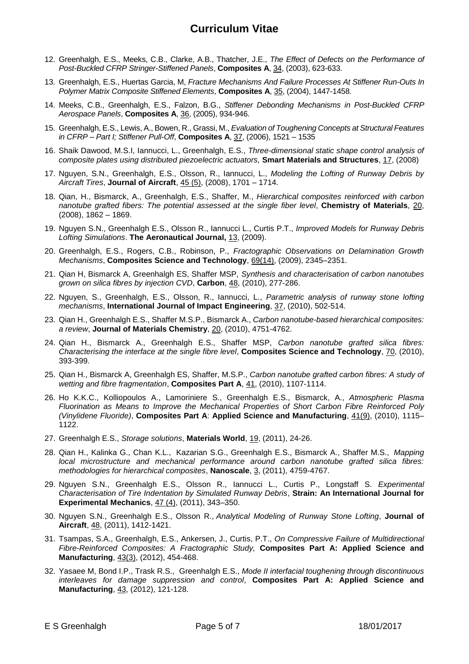- 12. Greenhalgh, E.S., Meeks, C.B., Clarke, A.B., Thatcher, J.E., *The Effect of Defects on the Performance of Post-Buckled CFRP Stringer-Stiffened Panels*, **Composites A**, 34, (2003), 623-633.
- 13. Greenhalgh, E.S., Huertas Garcia, M, *Fracture Mechanisms And Failure Processes At Stiffener Run-Outs In Polymer Matrix Composite Stiffened Elements*, **Composites A**, 35, (2004), 1447-1458.
- 14. Meeks, C.B., Greenhalgh, E.S., Falzon, B.G., *Stiffener Debonding Mechanisms in Post-Buckled CFRP Aerospace Panels*, **Composites A**, 36, (2005), 934-946.
- 15. Greenhalgh, E.S., Lewis, A., Bowen, R., Grassi, M., *Evaluation of Toughening Concepts at Structural Features in CFRP – Part I; Stiffener Pull-Off*, **Composites A**, 37, (2006), 1521 – 1535
- 16. Shaik Dawood, M.S.I, Iannucci, L., Greenhalgh, E.S., *Three-dimensional static shape control analysis of composite plates using distributed piezoelectric actuators,* **Smart Materials and Structures**, 17, (2008)
- 17. Nguyen, S.N., Greenhalgh, E.S., Olsson, R., Iannucci, L., *Modeling the Lofting of Runway Debris by Aircraft Tires*, **Journal of Aircraft**, 45 (5), (2008), 1701 – 1714.
- 18. Qian, H., Bismarck, A., Greenhalgh, E.S., Shaffer, M., *Hierarchical composites reinforced with carbon nanotube grafted fibers: The potential assessed at the single fiber level*, **Chemistry of Materials**, 20, (2008), 1862 – 1869.
- 19. Nguyen S.N., Greenhalgh E.S., Olsson R., Iannucci L., Curtis P.T., *Improved Models for Runway Debris Lofting Simulations*. **The Aeronautical Journal,** 13, (2009).
- 20. Greenhalgh, E.S., Rogers, C.B., Robinson, P., *Fractographic Observations on Delamination Growth Mechanisms*, **Composites Science and Technology**, 69(14), (2009), 2345–2351.
- 21. Qian H, Bismarck A, Greenhalgh ES, Shaffer MSP, *Synthesis and characterisation of carbon nanotubes grown on silica fibres by injection CVD*, **Carbon**, 48, (2010), 277-286.
- 22. Nguyen, S., Greenhalgh, E.S., Olsson, R., Iannucci, L., *Parametric analysis of runway stone lofting mechanisms*, **International Journal of Impact Engineering**, 37, (2010), 502-514.
- 23. Qian H., Greenhalgh E.S., Shaffer M.S.P., Bismarck A., *Carbon nanotube-based hierarchical composites: a review*, **Journal of Materials Chemistry**, 20, (2010), 4751-4762.
- 24. Qian H., Bismarck A., Greenhalgh E.S., Shaffer MSP, *Carbon nanotube grafted silica fibres: Characterising the interface at the single fibre level*, **Composites Science and Technology**, 70, (2010), 393-399.
- 25. Qian H., Bismarck A, Greenhalgh ES, [Shaffer,](javascript:;) M.S.P., *Carbon nanotube grafted carbon fibres: A study of wetting and fibre fragmentation*, **Composites Part A**, 41, (2010), 1107-1114.
- 26. Ho K.K.C., Kolliopoulos A., Lamoriniere S., Greenhalgh E.S., Bismarck, A., *Atmospheric Plasma Fluorination as Means to Improve the Mechanical Properties of Short Carbon Fibre Reinforced Poly (Vinylidene Fluoride)*, **Composites Part A**: **Applied Science and Manufacturing**, 41(9), (2010), 1115– 1122.
- 27. Greenhalgh E.S., *Storage solutions*, **Materials World**, 19, (2011), 24-26.
- 28. Qian H., Kalinka G., Chan K.L., Kazarian S.G., Greenhalgh E.S., Bismarck A., Shaffer M.S., *Mapping local microstructure and mechanical performance around carbon nanotube grafted silica fibres: methodologies for hierarchical composites*, **Nanoscale**, 3, (2011), 4759-4767.
- 29. Nguyen S.N., Greenhalgh E.S., Olsson R., Iannucci L., Curtis P., Longstaff S. *Experimental Characterisation of Tire Indentation by Simulated Runway Debris*, **Strain: An International Journal for Experimental Mechanics**, 47 (4), (2011), 343–350.
- 30. Nguyen S.N., Greenhalgh E.S., Olsson R., *Analytical Modeling of Runway Stone Lofting*, **Journal of Aircraft**, 48, (2011), 1412-1421.
- 31. Tsampas, S.A., Greenhalgh, E.S., Ankersen, J., Curtis, P.T., *On Compressive Failure of Multidirectional Fibre-Reinforced Composites: A Fractographic Study,* **Composites Part A: Applied Science and Manufacturing**, 43(3), (2012), 454-468.
- 32. Yasaee M, Bond I.P., Trask R.S., Greenhalgh E.S., *Mode II interfacial toughening through discontinuous interleaves for damage suppression and control*, **Composites Part A: Applied Science and Manufacturing**, 43, (2012), 121-128.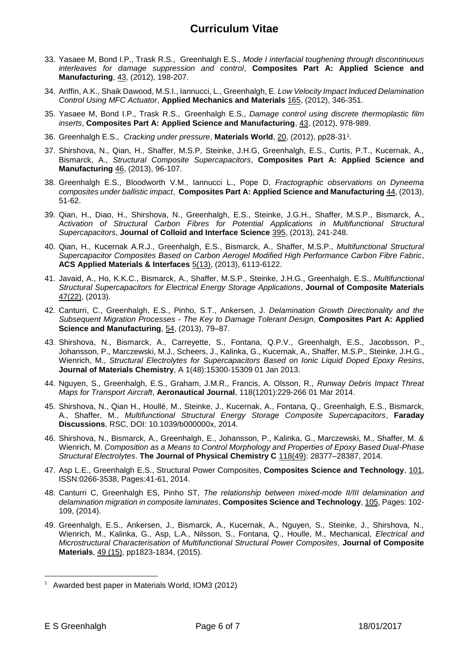- 33. Yasaee M, Bond I.P., Trask R.S., Greenhalgh E.S., *Mode I interfacial toughening through discontinuous interleaves for damage suppression and control*, **Composites Part A: Applied Science and Manufacturing**, 43, (2012), 198-207.
- 34. Ariffin, A.K., Shaik Dawood, M.S.I., Iannucci, L., Greenhalgh, E. *Low Velocity Impact Induced Delamination Control Using MFC Actuator*, **Applied Mechanics and Materials** 165, (2012), 346-351.
- 35. Yasaee M, Bond I.P., Trask R.S., Greenhalgh E.S., *Damage control using discrete thermoplastic film inserts*, **Composites Part A: Applied Science and Manufacturing**, 43, (2012), 978-989.
- 36. Greenhalgh E.S., *Cracking under pressure*, **Materials World**, 20, (2012), pp28-31<sup>1</sup> .
- 37. Shirshova, N., Qian, H., Shaffer, M.S.P, Steinke, J.H.G, Greenhalgh, E.S., Curtis, P.T., Kucernak, A., Bismarck, A., *Structural Composite Supercapacitors*, **Composites Part A: Applied Science and Manufacturing** 46, (2013), 96-107.
- 38. Greenhalgh E.S., Bloodworth V.M., Iannucci L., Pope D, *Fractographic observations on Dyneema composites under ballistic impact*, **Composites Part A: Applied Science and Manufacturing** 44, (2013), 51-62.
- 39. Qian, H., Diao, H., Shirshova, N., Greenhalgh, E.S., Steinke, J.G.H., Shaffer, M.S.P., Bismarck, A., *Activation of Structural Carbon Fibres for Potential Applications in Multifunctional Structural Supercapacitors*, **Journal of Colloid and Interface Science** 395, (2013), 241-248.
- 40. Qian, H., Kucernak A.R.J., Greenhalgh, E.S., Bismarck, A., Shaffer, M.S.P., *Multifunctional Structural Supercapacitor Composites Based on Carbon Aerogel Modified High Performance Carbon Fibre Fabric*, **ACS Applied Materials & Interfaces** 5(13), (2013), 6113-6122.
- 41. Javaid, A., Ho, K.K.C., Bismarck, A., Shaffer, M.S.P., Steinke, J.H.G., Greenhalgh, E.S., *Multifunctional Structural Supercapacitors for Electrical Energy Storage Applications*, **Journal of Composite Materials**  47(22), (2013).
- 42. Canturri, C., Greenhalgh, E.S., Pinho, S.T., Ankersen, J. *[Delamination Growth Directionality and the](http://scholar.google.co.uk/scholar?oi=bibs&hl=en&cluster=8998091718428267286&btnI=Lucky)  Subsequent Migration Processes - [The Key to Damage Tolerant Design](http://scholar.google.co.uk/scholar?oi=bibs&hl=en&cluster=8998091718428267286&btnI=Lucky)*, **Composites Part A: Applied Science and Manufacturing**, [54,](http://www.sciencedirect.com/science/journal/1359835X/54/supp/C) (2013), 79–87.
- 43. Shirshova, N., Bismarck, A., Carreyette, S., Fontana, Q.P.V., Greenhalgh, E.S., Jacobsson, P., Johansson, P., Marczewski, M.J., Scheers, J., Kalinka, G., Kucernak, A., Shaffer, M.S.P., Steinke, J.H.G., Wienrich, M., *Structural Electrolytes for Supercapacitors Based on Ionic Liquid Doped Epoxy Resins*, **Journal of Materials Chemistry**, A 1(48):15300-15309 01 Jan 2013.
- 44. Nguyen, S., Greenhalgh, E.S., Graham, J.M.R., Francis, A. Olsson, R., *Runway Debris Impact Threat Maps for Transport Aircraft*, **Aeronautical Journal**, 118(1201):229-266 01 Mar 2014.
- 45. Shirshova, N., Qian H., Houllé, M., Steinke, J., Kucernak, A., Fontana, Q., Greenhalgh, E.S., Bismarck, A., Shaffer, M., *Multifunctional Structural Energy Storage Composite Supercapacitors*, **Faraday Discussions**, RSC, DOI: 10.1039/b000000x, 2014.
- 46. Shirshova, N., Bismarck, A., Greenhalgh, E., Johansson, P., Kalinka, G., Marczewski, M., Shaffer, M. & Wienrich, M. *Composition as a Means to Control Morphology and Properties of Epoxy Based Dual-Phase Structural Electrolytes*. **The Journal of Physical Chemistry C** 118(49): 28377–28387, 2014.
- 47. Asp L.E., Greenhalgh E.S., Structural Power Composites, **Composites Science and Technology**, 101, ISSN:0266-3538, Pages:41-61, 2014.
- 48. Canturri C, Greenhalgh ES, Pinho ST, *[The relationship between mixed-mode II/III delamination and](http://dx.doi.org/10.1016/j.compscitech.2014.10.001)  [delamination migration in composite laminates](http://dx.doi.org/10.1016/j.compscitech.2014.10.001)*, **Composites Science and Technology**, 105, Pages: 102- 109, (2014).
- 49. Greenhalgh, E.S., Ankersen, J., Bismarck, A., Kucernak, A., Nguyen, S., Steinke, J., Shirshova, N., Wienrich, M., Kalinka, G., Asp, L.A., Nilsson, S., Fontana, Q., Houlle, M., Mechanical, *Electrical and Microstructural Characterisation of Multifunctional Structural Power Composites*, **Journal of Composite Materials**, 49 (15), pp1823-1834, (2015).

—<br>—

 $1$  Awarded best paper in Materials World, IOM3 (2012)